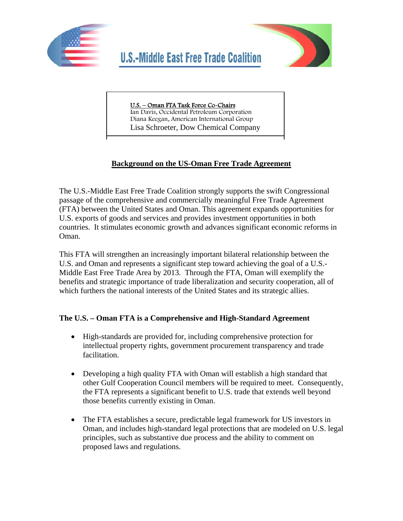



# U.S. – Oman FTA Task Force Co-Chairs

Ian Davis, Occidental Petroleum Corporation Diana Keegan, American International Group Lisa Schroeter, Dow Chemical Company

## **Background on the US-Oman Free Trade Agreement**

The U.S.-Middle East Free Trade Coalition strongly supports the swift Congressional passage of the comprehensive and commercially meaningful Free Trade Agreement (FTA) between the United States and Oman. This agreement expands opportunities for U.S. exports of goods and services and provides investment opportunities in both countries. It stimulates economic growth and advances significant economic reforms in Oman.

This FTA will strengthen an increasingly important bilateral relationship between the U.S. and Oman and represents a significant step toward achieving the goal of a U.S.- Middle East Free Trade Area by 2013. Through the FTA, Oman will exemplify the benefits and strategic importance of trade liberalization and security cooperation, all of which furthers the national interests of the United States and its strategic allies.

## **The U.S. – Oman FTA is a Comprehensive and High-Standard Agreement**

- High-standards are provided for, including comprehensive protection for intellectual property rights, government procurement transparency and trade facilitation.
- Developing a high quality FTA with Oman will establish a high standard that other Gulf Cooperation Council members will be required to meet. Consequently, the FTA represents a significant benefit to U.S. trade that extends well beyond those benefits currently existing in Oman.
- The FTA establishes a secure, predictable legal framework for US investors in Oman, and includes high-standard legal protections that are modeled on U.S. legal principles, such as substantive due process and the ability to comment on proposed laws and regulations.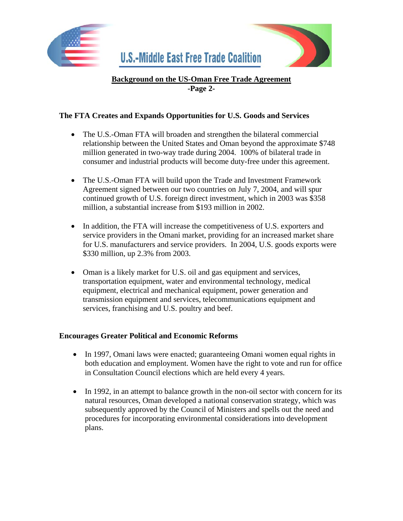

### **Background on the US-Oman Free Trade Agreement -Page 2-**

#### **The FTA Creates and Expands Opportunities for U.S. Goods and Services**

- The U.S.-Oman FTA will broaden and strengthen the bilateral commercial relationship between the United States and Oman beyond the approximate \$748 million generated in two-way trade during 2004. 100% of bilateral trade in consumer and industrial products will become duty-free under this agreement.
- The U.S.-Oman FTA will build upon the Trade and Investment Framework Agreement signed between our two countries on July 7, 2004, and will spur continued growth of U.S. foreign direct investment, which in 2003 was \$358 million, a substantial increase from \$193 million in 2002.
- In addition, the FTA will increase the competitiveness of U.S. exporters and service providers in the Omani market, providing for an increased market share for U.S. manufacturers and service providers. In 2004, U.S. goods exports were \$330 million, up 2.3% from 2003.
- Oman is a likely market for U.S. oil and gas equipment and services, transportation equipment, water and environmental technology, medical equipment, electrical and mechanical equipment, power generation and transmission equipment and services, telecommunications equipment and services, franchising and U.S. poultry and beef.

#### **Encourages Greater Political and Economic Reforms**

- In 1997, Omani laws were enacted; guaranteeing Omani women equal rights in both education and employment. Women have the right to vote and run for office in Consultation Council elections which are held every 4 years.
- In 1992, in an attempt to balance growth in the non-oil sector with concern for its natural resources, Oman developed a national conservation strategy, which was subsequently approved by the Council of Ministers and spells out the need and procedures for incorporating environmental considerations into development plans.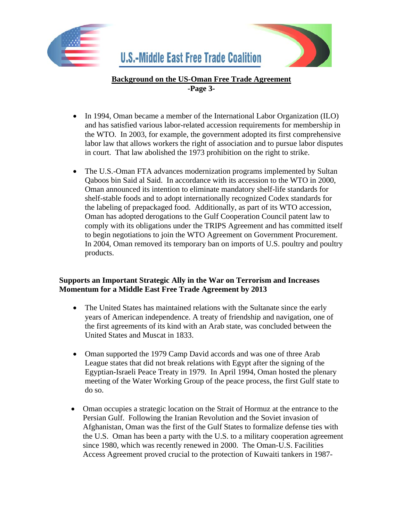

### **Background on the US-Oman Free Trade Agreement -Page 3-**

- In 1994, Oman became a member of the International Labor Organization (ILO) and has satisfied various labor-related accession requirements for membership in the WTO. In 2003, for example, the government adopted its first comprehensive labor law that allows workers the right of association and to pursue labor disputes in court. That law abolished the 1973 prohibition on the right to strike.
- The U.S.-Oman FTA advances modernization programs implemented by Sultan Qaboos bin Said al Said. In accordance with its accession to the WTO in 2000, Oman announced its intention to eliminate mandatory shelf-life standards for shelf-stable foods and to adopt internationally recognized Codex standards for the labeling of prepackaged food. Additionally, as part of its WTO accession, Oman has adopted derogations to the Gulf Cooperation Council patent law to comply with its obligations under the TRIPS Agreement and has committed itself to begin negotiations to join the WTO Agreement on Government Procurement. In 2004, Oman removed its temporary ban on imports of U.S. poultry and poultry products.

#### **Supports an Important Strategic Ally in the War on Terrorism and Increases Momentum for a Middle East Free Trade Agreement by 2013**

- The United States has maintained relations with the Sultanate since the early years of American independence. A treaty of friendship and navigation, one of the first agreements of its kind with an Arab state, was concluded between the United States and Muscat in 1833.
- Oman supported the 1979 Camp David accords and was one of three Arab League states that did not break relations with Egypt after the signing of the Egyptian-Israeli Peace Treaty in 1979. In April 1994, Oman hosted the plenary meeting of the Water Working Group of the peace process, the first Gulf state to do so.
- Oman occupies a strategic location on the Strait of Hormuz at the entrance to the Persian Gulf. Following the Iranian Revolution and the Soviet invasion of Afghanistan, Oman was the first of the Gulf States to formalize defense ties with the U.S. Oman has been a party with the U.S. to a military cooperation agreement since 1980, which was recently renewed in 2000. The Oman-U.S. Facilities Access Agreement proved crucial to the protection of Kuwaiti tankers in 1987-